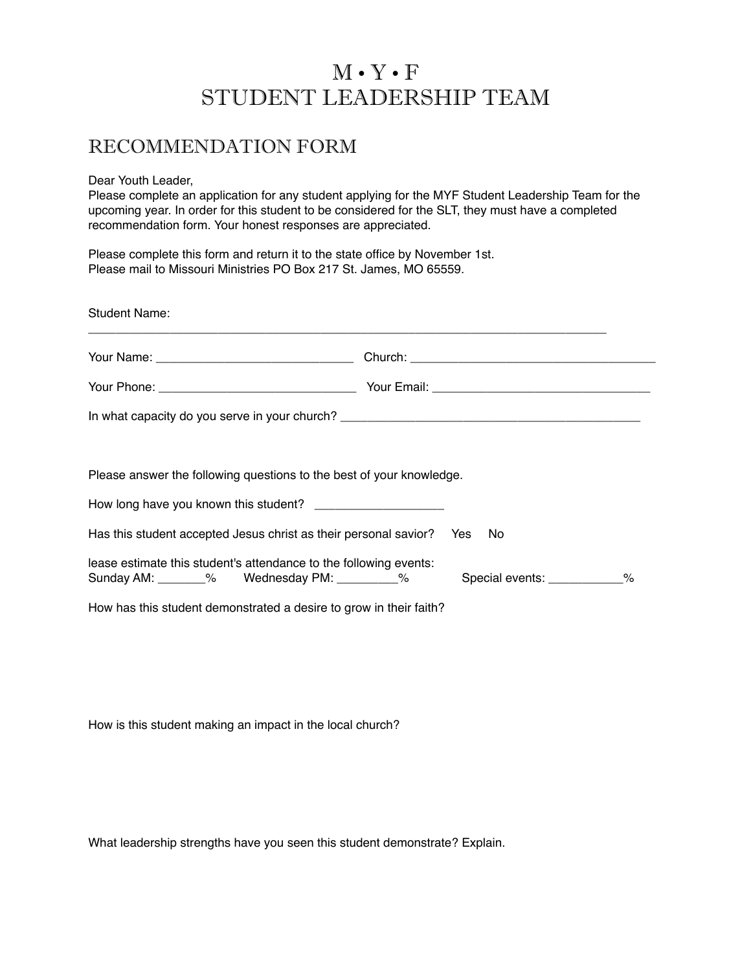## M • Y • F STUDENT LEADERSHIP TEAM

## RECOMMENDATION FORM

Dear Youth Leader,

Please complete an application for any student applying for the MYF Student Leadership Team for the upcoming year. In order for this student to be considered for the SLT, they must have a completed recommendation form. Your honest responses are appreciated.

Please complete this form and return it to the state office by November 1st. Please mail to Missouri Ministries PO Box 217 St. James, MO 65559.

| <b>Student Name:</b>                                                    |                                                                           |
|-------------------------------------------------------------------------|---------------------------------------------------------------------------|
|                                                                         |                                                                           |
|                                                                         |                                                                           |
|                                                                         |                                                                           |
|                                                                         |                                                                           |
| Please answer the following questions to the best of your knowledge.    |                                                                           |
| How long have you known this student? _______________________           |                                                                           |
| Has this student accepted Jesus christ as their personal savior? Yes No |                                                                           |
| lease estimate this student's attendance to the following events:       | Sunday AM: _______% Wednesday PM: _________% Special events: ___________% |
| How has this student demonstrated a desire to grow in their faith?      |                                                                           |

How is this student making an impact in the local church?

What leadership strengths have you seen this student demonstrate? Explain.